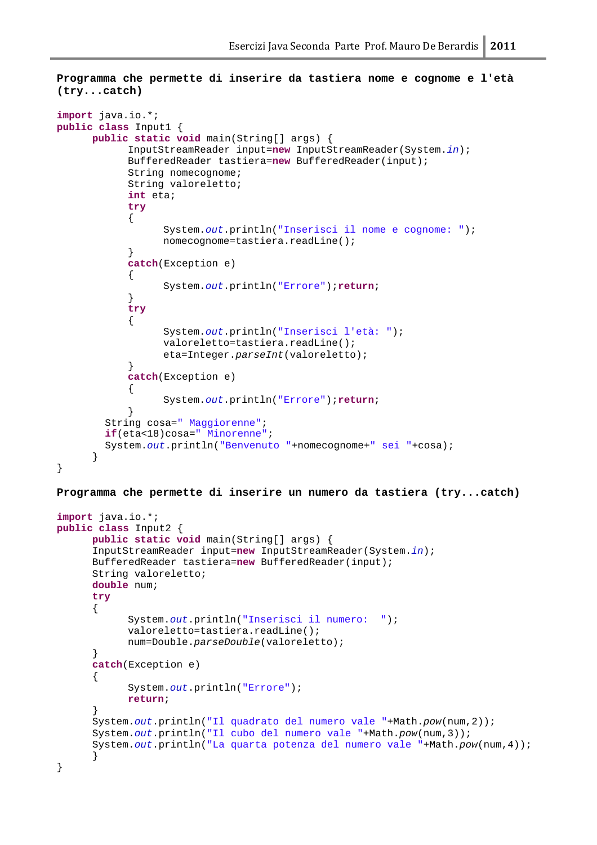**Programma che permette di inserire da tastiera nome e cognome e l'età (try...catch)** 

```
import java.io.*; 
public class Input1 { 
     public static void main(String[] args) { 
            InputStreamReader input=new InputStreamReader(System.in); 
            BufferedReader tastiera=new BufferedReader(input); 
            String nomecognome; 
            String valoreletto; 
            int eta; 
            try
\{ System.out.println("Inserisci il nome e cognome: "); 
                  nomecognome=tastiera.readLine(); 
 } 
            catch(Exception e) 
           \left\{ \right. System.out.println("Errore");return; 
 } 
            try
\{ System.out.println("Inserisci l'età: "); 
                  valoreletto=tastiera.readLine(); 
                  eta=Integer.parseInt(valoreletto); 
 } 
            catch(Exception e) 
\{ System.out.println("Errore");return; 
 } 
        String cosa=" Maggiorenne"; 
         if(eta<18)cosa=" Minorenne"; 
        System.out.println("Benvenuto "+nomecognome+" sei "+cosa); 
 } 
}
```
**Programma che permette di inserire un numero da tastiera (try...catch)** 

```
import java.io.*; 
public class Input2 { 
      public static void main(String[] args) { 
       InputStreamReader input=new InputStreamReader(System.in); 
       BufferedReader tastiera=new BufferedReader(input); 
       String valoreletto; 
      double num; 
      try
       { 
             System.out.println("Inserisci il numero: "); 
             valoreletto=tastiera.readLine(); 
             num=Double.parseDouble(valoreletto); 
       } 
      catch(Exception e) 
       { 
             System.out.println("Errore"); 
             return; 
 } 
       System.out.println("Il quadrato del numero vale "+Math.pow(num,2)); 
       System.out.println("Il cubo del numero vale "+Math.pow(num,3)); 
       System.out.println("La quarta potenza del numero vale "+Math.pow(num,4)); 
       } 
}
```